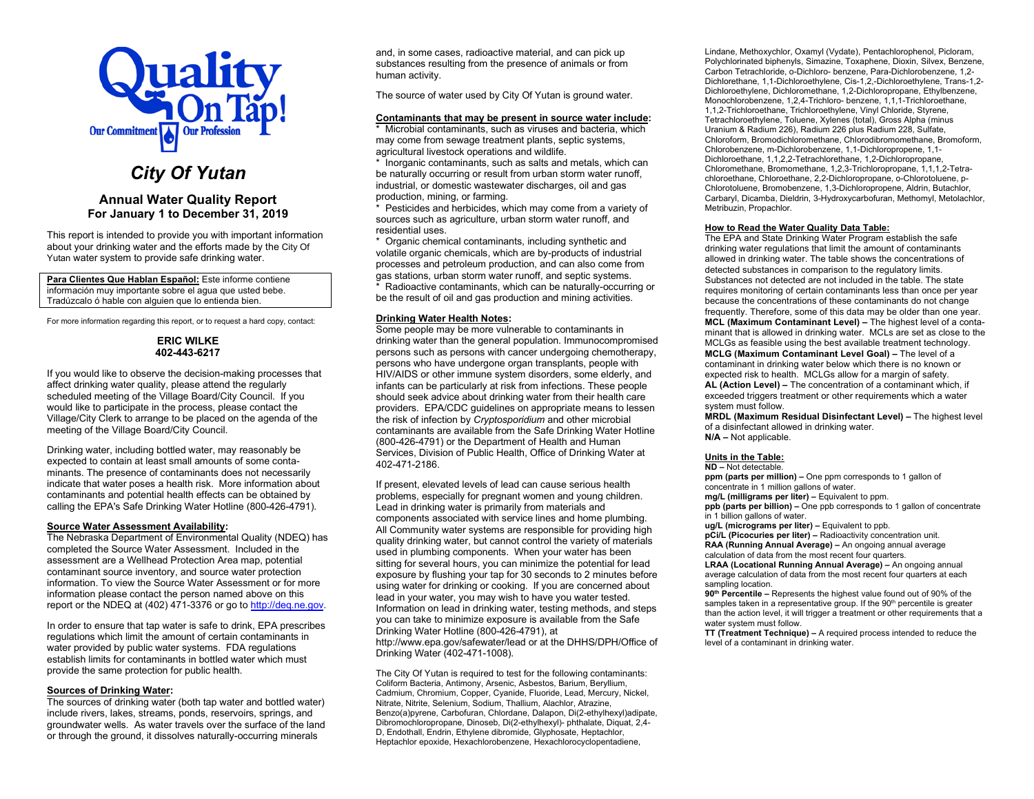

# *City Of Yutan*

# **Annual Water Quality Report For January 1 to December 31, 2019**

This report is intended to provide you with important information about your drinking water and the efforts made by the City Of Yutan water system to provide safe drinking water.

**Para Clientes Que Hablan Español:** Este informe contiene información muy importante sobre el agua que usted bebe. Tradúzcalo ó hable con alguien que lo entienda bien.

For more information regarding this report, or to request a hard copy, contact:

### **ERIC WILKE 402-443-6217**

If you would like to observe the decision-making processes that affect drinking water quality, please attend the regularly scheduled meeting of the Village Board/City Council. If you would like to participate in the process, please contact the Village/City Clerk to arrange to be placed on the agenda of the meeting of the Village Board/City Council.

Drinking water, including bottled water, may reasonably be expected to contain at least small amounts of some contaminants. The presence of contaminants does not necessarily indicate that water poses a health risk. More information about contaminants and potential health effects can be obtained by calling the EPA's Safe Drinking Water Hotline (800-426-4791).

#### **Source Water Assessment Availability:**

The Nebraska Department of Environmental Quality (NDEQ) has completed the Source Water Assessment. Included in the assessment are a Wellhead Protection Area map, potential contaminant source inventory, and source water protection information. To view the Source Water Assessment or for more information please contact the person named above on this report or the NDEQ at (402) 471-3376 or go to [http://deq.ne.gov.](http://www.deq.state.ne.us/)

In order to ensure that tap water is safe to drink, EPA prescribes regulations which limit the amount of certain contaminants in water provided by public water systems. FDA regulations establish limits for contaminants in bottled water which must provide the same protection for public health.

#### **Sources of Drinking Water:**

The sources of drinking water (both tap water and bottled water) include rivers, lakes, streams, ponds, reservoirs, springs, and groundwater wells. As water travels over the surface of the land or through the ground, it dissolves naturally-occurring minerals

and, in some cases, radioactive material, and can pick up substances resulting from the presence of animals or from human activity.

The source of water used by City Of Yutan is ground water.

#### **Contaminants that may be present in source water include:**

\* Microbial contaminants, such as viruses and bacteria, which may come from sewage treatment plants, septic systems, agricultural livestock operations and wildlife.

\* Inorganic contaminants, such as salts and metals, which can be naturally occurring or result from urban storm water runoff, industrial, or domestic wastewater discharges, oil and gas production, mining, or farming.

\* Pesticides and herbicides, which may come from a variety of sources such as agriculture, urban storm water runoff, and residential uses.

\* Organic chemical contaminants, including synthetic and volatile organic chemicals, which are by-products of industrial processes and petroleum production, and can also come from gas stations, urban storm water runoff, and septic systems.

\* Radioactive contaminants, which can be naturally-occurring or be the result of oil and gas production and mining activities.

## **Drinking Water Health Notes:**

Some people may be more vulnerable to contaminants in drinking water than the general population. Immunocompromised persons such as persons with cancer undergoing chemotherapy, persons who have undergone organ transplants, people with HIV/AIDS or other immune system disorders, some elderly, and infants can be particularly at risk from infections. These people should seek advice about drinking water from their health care providers. EPA/CDC guidelines on appropriate means to lessen the risk of infection by *Cryptosporidium* and other microbial contaminants are available from the Safe Drinking Water Hotline (800-426-4791) or the Department of Health and Human Services, Division of Public Health, Office of Drinking Water at 402-471-2186.

If present, elevated levels of lead can cause serious health problems, especially for pregnant women and young children. Lead in drinking water is primarily from materials and components associated with service lines and home plumbing. All Community water systems are responsible for providing high quality drinking water, but cannot control the variety of materials used in plumbing components. When your water has been sitting for several hours, you can minimize the potential for lead exposure by flushing your tap for 30 seconds to 2 minutes before using water for drinking or cooking. If you are concerned about lead in your water, you may wish to have you water tested. Information on lead in drinking water, testing methods, and steps you can take to minimize exposure is available from the Safe Drinking Water Hotline (800-426-4791), at http://www.epa.gov/safewater/lead or at the DHHS/DPH/Office of Drinking Water (402-471-1008).

The City Of Yutan is required to test for the following contaminants: Coliform Bacteria, Antimony, Arsenic, Asbestos, Barium, Beryllium, Cadmium, Chromium, Copper, Cyanide, Fluoride, Lead, Mercury, Nickel, Nitrate, Nitrite, Selenium, Sodium, Thallium, Alachlor, Atrazine, Benzo(a)pyrene, Carbofuran, Chlordane, Dalapon, Di(2-ethylhexyl)adipate, Dibromochloropropane, Dinoseb, Di(2-ethylhexyl)- phthalate, Diquat, 2,4- D, Endothall, Endrin, Ethylene dibromide, Glyphosate, Heptachlor, Heptachlor epoxide, Hexachlorobenzene, Hexachlorocyclopentadiene,

Lindane, Methoxychlor, Oxamyl (Vydate), Pentachlorophenol, Picloram, Polychlorinated biphenyls, Simazine, Toxaphene, Dioxin, Silvex, Benzene, Carbon Tetrachloride, o-Dichloro- benzene, Para-Dichlorobenzene, 1,2- Dichlorethane, 1,1-Dichloroethylene, Cis-1,2,-Dichloroethylene, Trans-1,2- Dichloroethylene, Dichloromethane, 1,2-Dichloropropane, Ethylbenzene, Monochlorobenzene, 1,2,4-Trichloro- benzene, 1,1,1-Trichloroethane, 1,1,2-Trichloroethane, Trichloroethylene, Vinyl Chloride, Styrene, Tetrachloroethylene, Toluene, Xylenes (total), Gross Alpha (minus Uranium & Radium 226), Radium 226 plus Radium 228, Sulfate, Chloroform, Bromodichloromethane, Chlorodibromomethane, Bromoform, Chlorobenzene, m-Dichlorobenzene, 1,1-Dichloropropene, 1,1- Dichloroethane, 1,1,2,2-Tetrachlorethane, 1,2-Dichloropropane, Chloromethane, Bromomethane, 1,2,3-Trichloropropane, 1,1,1,2-Tetrachloroethane, Chloroethane, 2,2-Dichloropropane, o-Chlorotoluene, p-Chlorotoluene, Bromobenzene, 1,3-Dichloropropene, Aldrin, Butachlor, Carbaryl, Dicamba, Dieldrin, 3-Hydroxycarbofuran, Methomyl, Metolachlor, Metribuzin, Propachlor.

#### **How to Read the Water Quality Data Table:**

The EPA and State Drinking Water Program establish the safe drinking water regulations that limit the amount of contaminants allowed in drinking water. The table shows the concentrations of detected substances in comparison to the regulatory limits. Substances not detected are not included in the table. The state requires monitoring of certain contaminants less than once per year because the concentrations of these contaminants do not change frequently. Therefore, some of this data may be older than one year. **MCL (Maximum Contaminant Level) –** The highest level of a contaminant that is allowed in drinking water. MCLs are set as close to the MCLGs as feasible using the best available treatment technology. **MCLG (Maximum Contaminant Level Goal) –** The level of a contaminant in drinking water below which there is no known or expected risk to health. MCLGs allow for a margin of safety. **AL (Action Level) –** The concentration of a contaminant which, if exceeded triggers treatment or other requirements which a water system must follow.

**MRDL (Maximum Residual Disinfectant Level) –** The highest level of a disinfectant allowed in drinking water. **N/A –** Not applicable.

#### **Units in the Table:**

**ND –** Not detectable.

**ppm (parts per million) –** One ppm corresponds to 1 gallon of concentrate in 1 million gallons of water.

**mg/L (milligrams per liter) –** Equivalent to ppm.

**ppb (parts per billion) –** One ppb corresponds to 1 gallon of concentrate in 1 billion gallons of water.

**ug/L (micrograms per liter) –** Equivalent to ppb.

**pCi/L (Picocuries per liter) –** Radioactivity concentration unit. **RAA (Running Annual Average) –** An ongoing annual average calculation of data from the most recent four quarters.

**LRAA (Locational Running Annual Average) –** An ongoing annual average calculation of data from the most recent four quarters at each sampling location.

**90th Percentile –** Represents the highest value found out of 90% of the samples taken in a representative group. If the 90<sup>th</sup> percentile is greater than the action level, it will trigger a treatment or other requirements that a water system must follow.

**TT (Treatment Technique) –** A required process intended to reduce the level of a contaminant in drinking water.